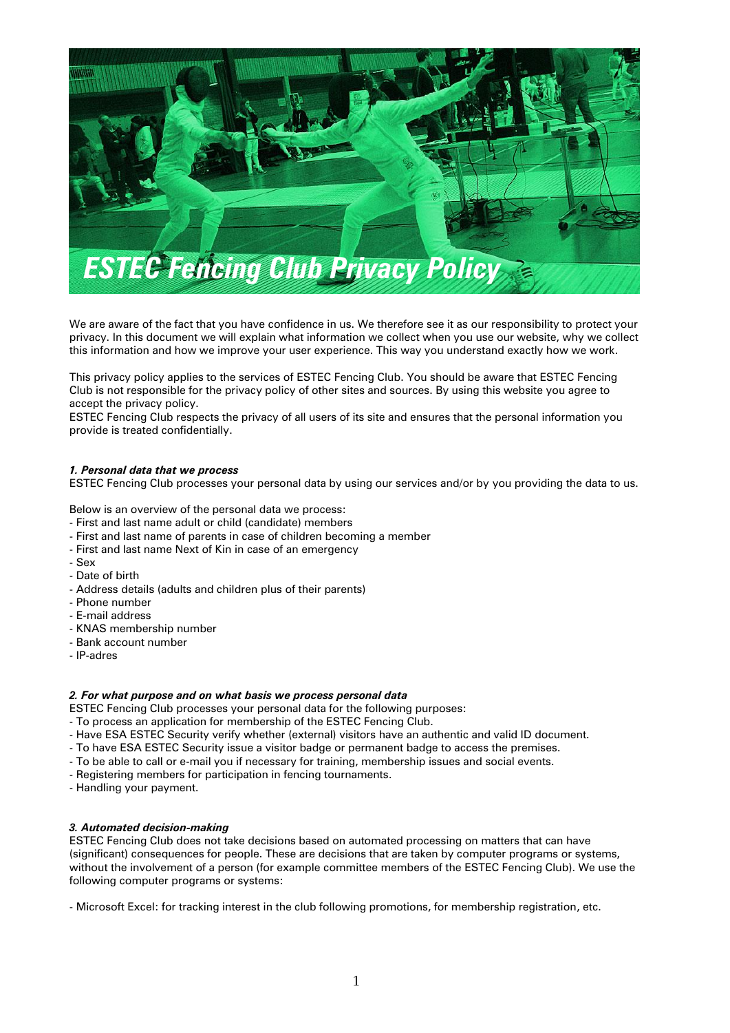

We are aware of the fact that you have confidence in us. We therefore see it as our responsibility to protect your privacy. In this document we will explain what information we collect when you use our website, why we collect this information and how we improve your user experience. This way you understand exactly how we work.

This privacy policy applies to the services of ESTEC Fencing Club. You should be aware that ESTEC Fencing Club is not responsible for the privacy policy of other sites and sources. By using this website you agree to accept the privacy policy.

ESTEC Fencing Club respects the privacy of all users of its site and ensures that the personal information you provide is treated confidentially.

# *1. Personal data that we process*

ESTEC Fencing Club processes your personal data by using our services and/or by you providing the data to us.

Below is an overview of the personal data we process:

- First and last name adult or child (candidate) members
- First and last name of parents in case of children becoming a member
- First and last name Next of Kin in case of an emergency
- Sex
- Date of birth
- Address details (adults and children plus of their parents)
- Phone number
- E-mail address
- KNAS membership number
- Bank account number
- IP-adres

#### *2. For what purpose and on what basis we process personal data*

- ESTEC Fencing Club processes your personal data for the following purposes:
- To process an application for membership of the ESTEC Fencing Club.
- Have ESA ESTEC Security verify whether (external) visitors have an authentic and valid ID document.
- To have ESA ESTEC Security issue a visitor badge or permanent badge to access the premises.
- To be able to call or e-mail you if necessary for training, membership issues and social events.
- Registering members for participation in fencing tournaments.
- Handling your payment.

#### *3. Automated decision-making*

ESTEC Fencing Club does not take decisions based on automated processing on matters that can have (significant) consequences for people. These are decisions that are taken by computer programs or systems, without the involvement of a person (for example committee members of the ESTEC Fencing Club). We use the following computer programs or systems:

- Microsoft Excel: for tracking interest in the club following promotions, for membership registration, etc.